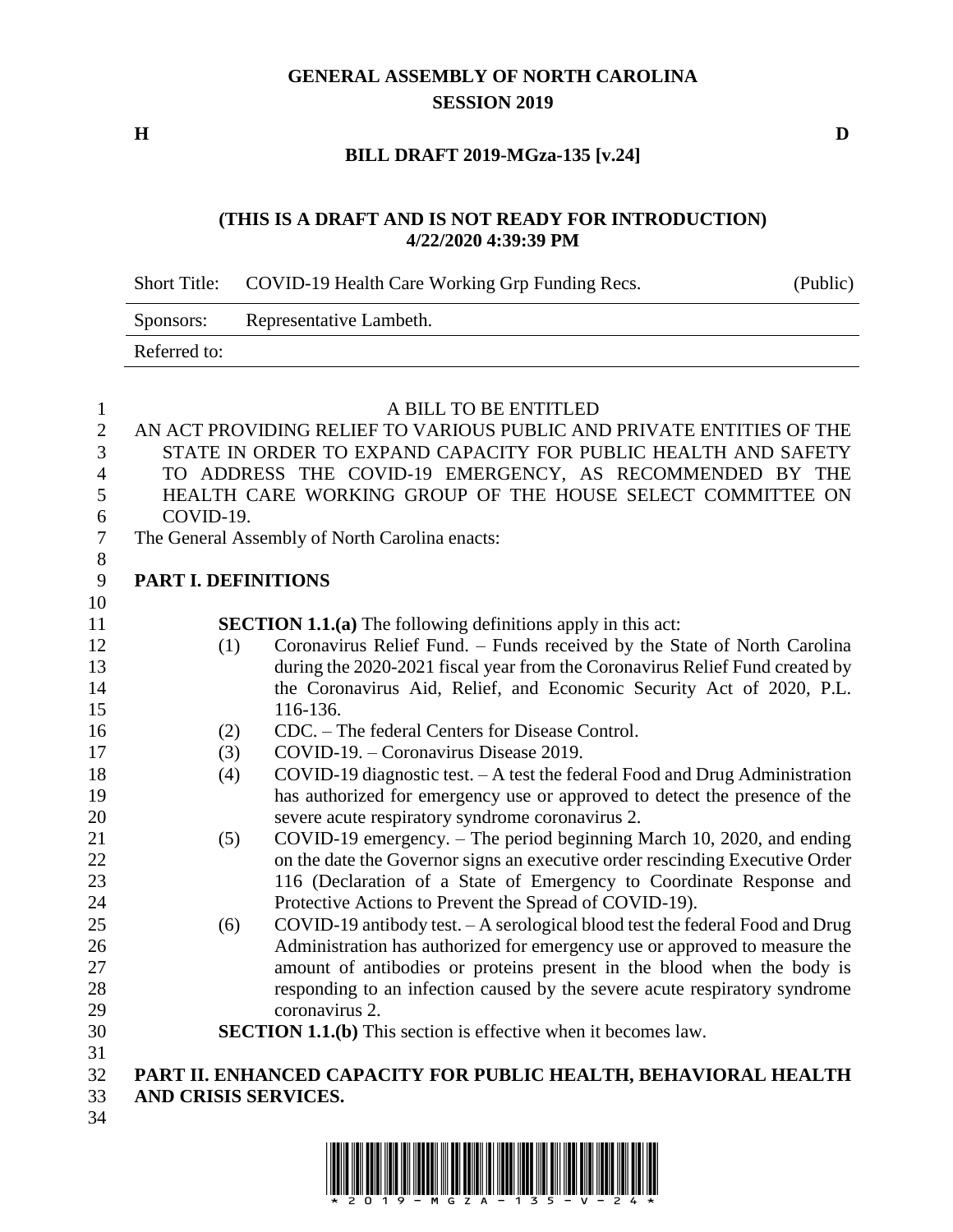## **GENERAL ASSEMBLY OF NORTH CAROLINA SESSION 2019**

**H D**

## **BILL DRAFT 2019-MGza-135 [v.24]**

### **(THIS IS A DRAFT AND IS NOT READY FOR INTRODUCTION) 4/22/2020 4:39:39 PM**

|                  | <b>Short Title:</b>                                                     | COVID-19 Health Care Working Grp Funding Recs.                                 | (Public) |
|------------------|-------------------------------------------------------------------------|--------------------------------------------------------------------------------|----------|
|                  | Sponsors:                                                               | Representative Lambeth.                                                        |          |
|                  | Referred to:                                                            |                                                                                |          |
|                  |                                                                         |                                                                                |          |
| $\mathbf{1}$     |                                                                         | A BILL TO BE ENTITLED                                                          |          |
| $\mathbf{2}$     |                                                                         | AN ACT PROVIDING RELIEF TO VARIOUS PUBLIC AND PRIVATE ENTITIES OF THE          |          |
| 3                |                                                                         | STATE IN ORDER TO EXPAND CAPACITY FOR PUBLIC HEALTH AND SAFETY                 |          |
| 4                |                                                                         | TO ADDRESS THE COVID-19 EMERGENCY, AS RECOMMENDED BY THE                       |          |
| 5<br>6           | HEALTH CARE WORKING GROUP OF THE HOUSE SELECT COMMITTEE ON<br>COVID-19. |                                                                                |          |
| $\boldsymbol{7}$ | The General Assembly of North Carolina enacts:                          |                                                                                |          |
| $8\,$            |                                                                         |                                                                                |          |
| $\mathbf{9}$     | <b>PART I. DEFINITIONS</b>                                              |                                                                                |          |
| 10               |                                                                         |                                                                                |          |
| 11               |                                                                         | <b>SECTION 1.1.(a)</b> The following definitions apply in this act:            |          |
| 12               | (1)                                                                     | Coronavirus Relief Fund. - Funds received by the State of North Carolina       |          |
| 13               |                                                                         | during the 2020-2021 fiscal year from the Coronavirus Relief Fund created by   |          |
| 14               |                                                                         | the Coronavirus Aid, Relief, and Economic Security Act of 2020, P.L.           |          |
| 15               |                                                                         | 116-136.                                                                       |          |
| 16               | (2)                                                                     | CDC. – The federal Centers for Disease Control.                                |          |
| 17               | (3)                                                                     | COVID-19. - Coronavirus Disease 2019.                                          |          |
| 18               | (4)                                                                     | $COVID-19$ diagnostic test. $-A$ test the federal Food and Drug Administration |          |
| 19               |                                                                         | has authorized for emergency use or approved to detect the presence of the     |          |
| 20               |                                                                         | severe acute respiratory syndrome coronavirus 2.                               |          |
| 21               | (5)                                                                     | COVID-19 emergency. – The period beginning March 10, 2020, and ending          |          |
| 22               |                                                                         | on the date the Governor signs an executive order rescinding Executive Order   |          |
| 23               |                                                                         | 116 (Declaration of a State of Emergency to Coordinate Response and            |          |
| 24               |                                                                         | Protective Actions to Prevent the Spread of COVID-19).                         |          |
| 25               | (6)                                                                     | COVID-19 antibody test. - A serological blood test the federal Food and Drug   |          |
| 26               |                                                                         | Administration has authorized for emergency use or approved to measure the     |          |
| 27               |                                                                         | amount of antibodies or proteins present in the blood when the body is         |          |
| 28               |                                                                         | responding to an infection caused by the severe acute respiratory syndrome     |          |
| 29               |                                                                         | coronavirus 2.                                                                 |          |
| 30               |                                                                         | <b>SECTION 1.1.(b)</b> This section is effective when it becomes law.          |          |
| 31               |                                                                         |                                                                                |          |
| 32               |                                                                         | PART II. ENHANCED CAPACITY FOR PUBLIC HEALTH, BEHAVIORAL HEALTH                |          |
| 33               |                                                                         | AND CRISIS SERVICES.                                                           |          |
| 34               |                                                                         |                                                                                |          |

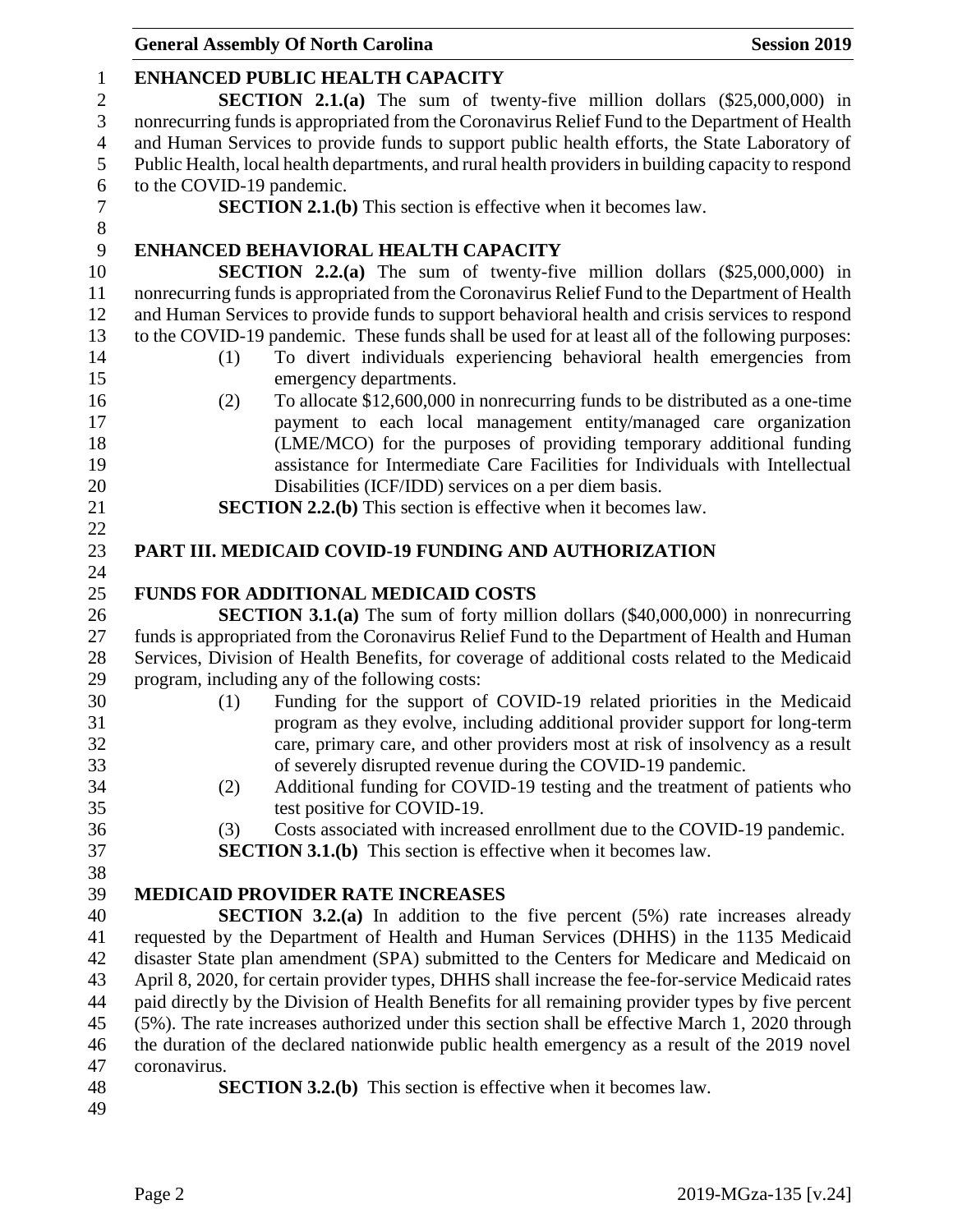|                  | <b>General Assembly Of North Carolina</b><br><b>Session 2019</b>                                    |
|------------------|-----------------------------------------------------------------------------------------------------|
| $\mathbf{1}$     | <b>ENHANCED PUBLIC HEALTH CAPACITY</b>                                                              |
| $\overline{c}$   | SECTION 2.1.(a) The sum of twenty-five million dollars (\$25,000,000) in                            |
| 3                | nonrecurring funds is appropriated from the Coronavirus Relief Fund to the Department of Health     |
| $\overline{4}$   | and Human Services to provide funds to support public health efforts, the State Laboratory of       |
| 5                | Public Health, local health departments, and rural health providers in building capacity to respond |
| 6                | to the COVID-19 pandemic.                                                                           |
| $\boldsymbol{7}$ | <b>SECTION 2.1.(b)</b> This section is effective when it becomes law.                               |
| 8                |                                                                                                     |
| 9                | ENHANCED BEHAVIORAL HEALTH CAPACITY                                                                 |
|                  | <b>SECTION 2.2.(a)</b> The sum of twenty-five million dollars $(\$25,000,000)$ in                   |
|                  | nonrecurring funds is appropriated from the Coronavirus Relief Fund to the Department of Health     |
|                  | and Human Services to provide funds to support behavioral health and crisis services to respond     |
|                  | to the COVID-19 pandemic. These funds shall be used for at least all of the following purposes:     |
|                  | To divert individuals experiencing behavioral health emergencies from<br>(1)                        |
|                  |                                                                                                     |
|                  | emergency departments.                                                                              |
|                  | To allocate \$12,600,000 in nonrecurring funds to be distributed as a one-time<br>(2)               |
|                  | payment to each local management entity/managed care organization                                   |
|                  | (LME/MCO) for the purposes of providing temporary additional funding                                |
|                  | assistance for Intermediate Care Facilities for Individuals with Intellectual                       |
|                  | Disabilities (ICF/IDD) services on a per diem basis.                                                |
|                  | <b>SECTION 2.2.(b)</b> This section is effective when it becomes law.                               |
|                  |                                                                                                     |
|                  | PART III. MEDICAID COVID-19 FUNDING AND AUTHORIZATION                                               |
|                  | <b>FUNDS FOR ADDITIONAL MEDICAID COSTS</b>                                                          |
|                  | <b>SECTION 3.1.(a)</b> The sum of forty million dollars (\$40,000,000) in nonrecurring              |
|                  | funds is appropriated from the Coronavirus Relief Fund to the Department of Health and Human        |
|                  | Services, Division of Health Benefits, for coverage of additional costs related to the Medicaid     |
|                  | program, including any of the following costs:                                                      |
|                  | Funding for the support of COVID-19 related priorities in the Medicaid<br>(1)                       |
|                  | program as they evolve, including additional provider support for long-term                         |
|                  |                                                                                                     |
|                  | care, primary care, and other providers most at risk of insolvency as a result                      |
|                  | of severely disrupted revenue during the COVID-19 pandemic.                                         |
|                  | Additional funding for COVID-19 testing and the treatment of patients who<br>(2)                    |
|                  | test positive for COVID-19.                                                                         |
|                  | Costs associated with increased enrollment due to the COVID-19 pandemic.<br>(3)                     |
|                  | <b>SECTION 3.1.(b)</b> This section is effective when it becomes law.                               |
|                  |                                                                                                     |
|                  | <b>MEDICAID PROVIDER RATE INCREASES</b>                                                             |
|                  | <b>SECTION 3.2.(a)</b> In addition to the five percent $(5%)$ rate increases already                |
|                  | requested by the Department of Health and Human Services (DHHS) in the 1135 Medicaid                |
|                  | disaster State plan amendment (SPA) submitted to the Centers for Medicare and Medicaid on           |
|                  | April 8, 2020, for certain provider types, DHHS shall increase the fee-for-service Medicaid rates   |
|                  | paid directly by the Division of Health Benefits for all remaining provider types by five percent   |
|                  | (5%). The rate increases authorized under this section shall be effective March 1, 2020 through     |
|                  | the duration of the declared nationwide public health emergency as a result of the 2019 novel       |
|                  | coronavirus.                                                                                        |
|                  | <b>SECTION 3.2.(b)</b> This section is effective when it becomes law.                               |
|                  |                                                                                                     |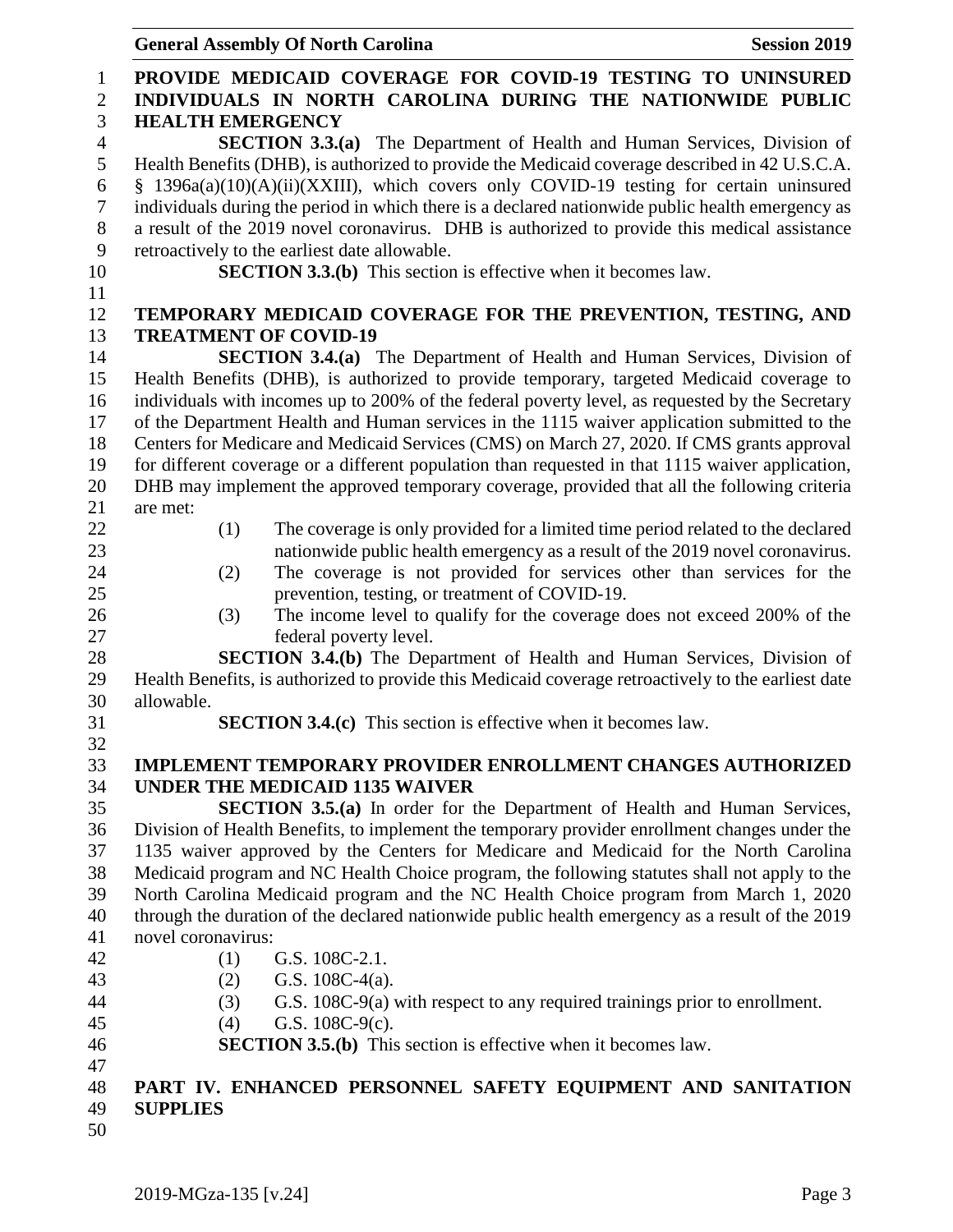|                                     | <b>General Assembly Of North Carolina</b><br><b>Session 2019</b>                                                                                     |
|-------------------------------------|------------------------------------------------------------------------------------------------------------------------------------------------------|
| $\mathbf{1}$<br>$\overline{2}$<br>3 | PROVIDE MEDICAID COVERAGE FOR COVID-19 TESTING TO UNINSURED<br>INDIVIDUALS IN NORTH CAROLINA DURING THE NATIONWIDE PUBLIC<br><b>HEALTH EMERGENCY</b> |
| $\overline{4}$                      | SECTION $3.3(a)$<br>The Department of Health and Human Services, Division of                                                                         |
| $\mathfrak{S}$                      | Health Benefits (DHB), is authorized to provide the Medicaid coverage described in 42 U.S.C.A.                                                       |
| 6                                   | § 1396a(a)(10)(A)(ii)(XXIII), which covers only COVID-19 testing for certain uninsured                                                               |
| $\tau$                              | individuals during the period in which there is a declared nationwide public health emergency as                                                     |
| 8                                   | a result of the 2019 novel coronavirus. DHB is authorized to provide this medical assistance                                                         |
| 9                                   | retroactively to the earliest date allowable.                                                                                                        |
| 10                                  | <b>SECTION 3.3.(b)</b> This section is effective when it becomes law.                                                                                |
| 11                                  |                                                                                                                                                      |
| 12                                  | TEMPORARY MEDICAID COVERAGE FOR THE PREVENTION, TESTING, AND                                                                                         |
| 13                                  | <b>TREATMENT OF COVID-19</b>                                                                                                                         |
| 14                                  | <b>SECTION 3.4.(a)</b> The Department of Health and Human Services, Division of                                                                      |
| 15                                  | Health Benefits (DHB), is authorized to provide temporary, targeted Medicaid coverage to                                                             |
| 16                                  | individuals with incomes up to 200% of the federal poverty level, as requested by the Secretary                                                      |
| 17                                  | of the Department Health and Human services in the 1115 waiver application submitted to the                                                          |
| 18                                  | Centers for Medicare and Medicaid Services (CMS) on March 27, 2020. If CMS grants approval                                                           |
| 19                                  | for different coverage or a different population than requested in that 1115 waiver application,                                                     |
| 20                                  | DHB may implement the approved temporary coverage, provided that all the following criteria                                                          |
| 21                                  | are met:                                                                                                                                             |
| 22                                  | The coverage is only provided for a limited time period related to the declared<br>(1)                                                               |
| 23                                  | nationwide public health emergency as a result of the 2019 novel coronavirus.                                                                        |
| 24                                  | The coverage is not provided for services other than services for the<br>(2)                                                                         |
| 25                                  | prevention, testing, or treatment of COVID-19.                                                                                                       |
| 26                                  | The income level to qualify for the coverage does not exceed 200% of the<br>(3)                                                                      |
| 27                                  | federal poverty level.                                                                                                                               |
| 28                                  | <b>SECTION 3.4.(b)</b> The Department of Health and Human Services, Division of                                                                      |
| 29                                  | Health Benefits, is authorized to provide this Medicaid coverage retroactively to the earliest date                                                  |
| 30                                  | allowable.                                                                                                                                           |
| 31                                  | <b>SECTION 3.4.(c)</b> This section is effective when it becomes law.                                                                                |
| 32<br>33                            | <b>IMPLEMENT TEMPORARY PROVIDER ENROLLMENT CHANGES AUTHORIZED</b>                                                                                    |
| 34                                  | <b>UNDER THE MEDICAID 1135 WAIVER</b>                                                                                                                |
| 35                                  | <b>SECTION 3.5.(a)</b> In order for the Department of Health and Human Services,                                                                     |
| 36                                  | Division of Health Benefits, to implement the temporary provider enrollment changes under the                                                        |
| 37                                  | 1135 waiver approved by the Centers for Medicare and Medicaid for the North Carolina                                                                 |
| 38                                  | Medicaid program and NC Health Choice program, the following statutes shall not apply to the                                                         |
| 39                                  | North Carolina Medicaid program and the NC Health Choice program from March 1, 2020                                                                  |
| 40                                  | through the duration of the declared nationwide public health emergency as a result of the 2019                                                      |
| 41                                  | novel coronavirus:                                                                                                                                   |
| 42                                  | (1)<br>G.S. 108C-2.1.                                                                                                                                |
| 43                                  | (2)<br>G.S. $108C-4(a)$ .                                                                                                                            |
| 44                                  | G.S. 108C-9(a) with respect to any required trainings prior to enrollment.<br>(3)                                                                    |
| 45                                  | G.S. $108C-9(c)$ .<br>(4)                                                                                                                            |
| 46                                  | <b>SECTION 3.5.(b)</b> This section is effective when it becomes law.                                                                                |
| 47                                  |                                                                                                                                                      |
| 48                                  | PART IV. ENHANCED PERSONNEL SAFETY EQUIPMENT AND SANITATION                                                                                          |
| 49                                  | <b>SUPPLIES</b>                                                                                                                                      |

49<br>50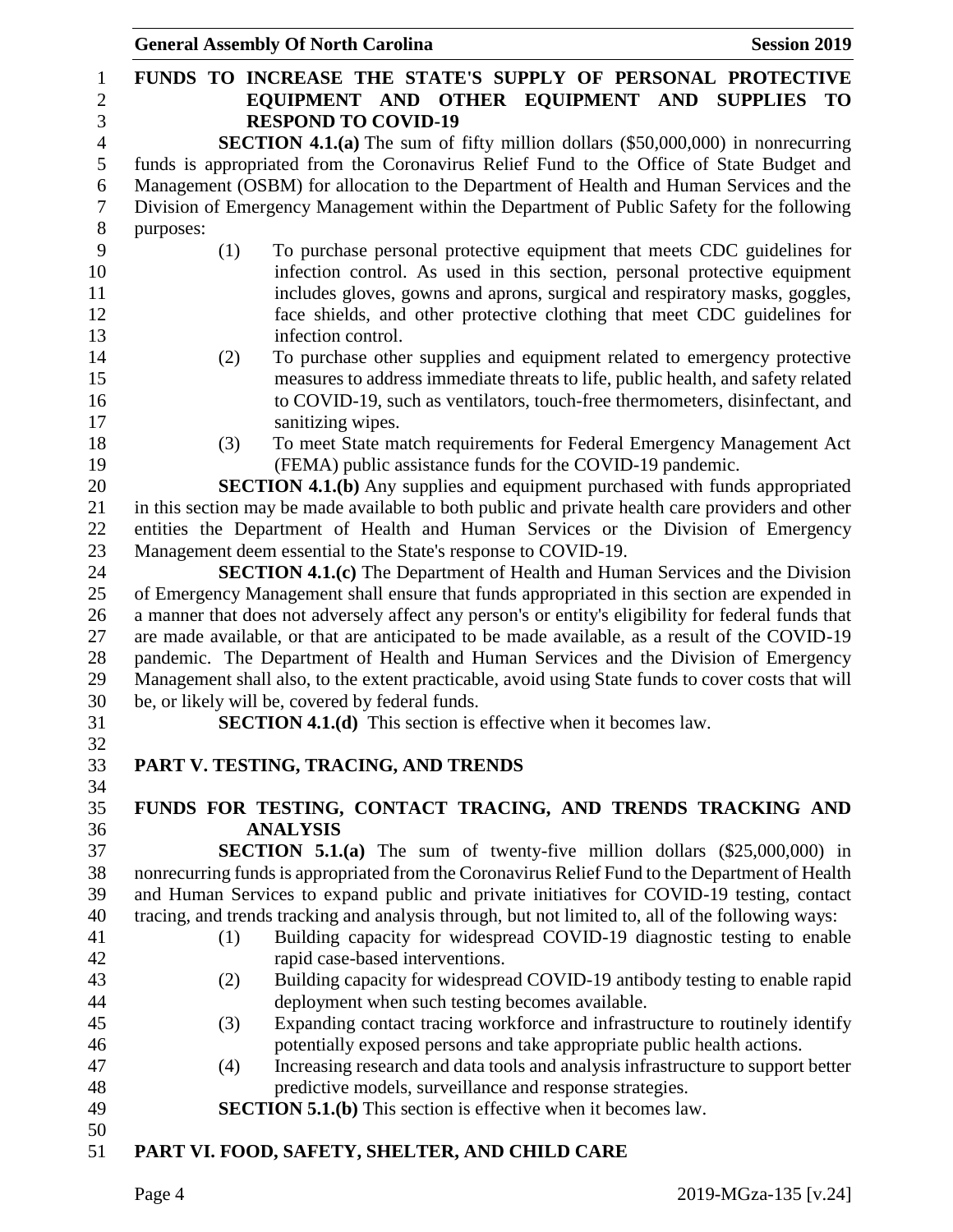|           | <b>General Assembly Of North Carolina</b><br><b>Session 2019</b>                                                       |
|-----------|------------------------------------------------------------------------------------------------------------------------|
|           | FUNDS TO INCREASE THE STATE'S SUPPLY OF PERSONAL PROTECTIVE<br>EQUIPMENT AND OTHER EQUIPMENT AND SUPPLIES<br><b>TO</b> |
|           | <b>RESPOND TO COVID-19</b>                                                                                             |
|           | <b>SECTION 4.1.(a)</b> The sum of fifty million dollars $(\$50,000,000)$ in nonrecurring                               |
|           | funds is appropriated from the Coronavirus Relief Fund to the Office of State Budget and                               |
|           | Management (OSBM) for allocation to the Department of Health and Human Services and the                                |
|           | Division of Emergency Management within the Department of Public Safety for the following                              |
| purposes: |                                                                                                                        |
|           | To purchase personal protective equipment that meets CDC guidelines for<br>(1)                                         |
|           | infection control. As used in this section, personal protective equipment                                              |
|           | includes gloves, gowns and aprons, surgical and respiratory masks, goggles,                                            |
|           | face shields, and other protective clothing that meet CDC guidelines for                                               |
|           | infection control.                                                                                                     |
|           | To purchase other supplies and equipment related to emergency protective<br>(2)                                        |
|           | measures to address immediate threats to life, public health, and safety related                                       |
|           | to COVID-19, such as ventilators, touch-free thermometers, disinfectant, and                                           |
|           | sanitizing wipes.                                                                                                      |
|           | To meet State match requirements for Federal Emergency Management Act<br>(3)                                           |
|           | (FEMA) public assistance funds for the COVID-19 pandemic.                                                              |
|           | <b>SECTION 4.1.(b)</b> Any supplies and equipment purchased with funds appropriated                                    |
|           | in this section may be made available to both public and private health care providers and other                       |
|           | entities the Department of Health and Human Services or the Division of Emergency                                      |
|           | Management deem essential to the State's response to COVID-19.                                                         |
|           | <b>SECTION 4.1.(c)</b> The Department of Health and Human Services and the Division                                    |
|           | of Emergency Management shall ensure that funds appropriated in this section are expended in                           |
|           | a manner that does not adversely affect any person's or entity's eligibility for federal funds that                    |
|           | are made available, or that are anticipated to be made available, as a result of the COVID-19                          |
|           | pandemic. The Department of Health and Human Services and the Division of Emergency                                    |
|           | Management shall also, to the extent practicable, avoid using State funds to cover costs that will                     |
|           | be, or likely will be, covered by federal funds.                                                                       |
|           | <b>SECTION 4.1.(d)</b> This section is effective when it becomes law.                                                  |
|           |                                                                                                                        |
|           | PART V. TESTING, TRACING, AND TRENDS                                                                                   |
|           | FUNDS FOR TESTING, CONTACT TRACING, AND TRENDS TRACKING AND                                                            |
|           | <b>ANALYSIS</b>                                                                                                        |
|           | <b>SECTION 5.1.(a)</b> The sum of twenty-five million dollars $(\$25,000,000)$ in                                      |
|           | nonrecurring funds is appropriated from the Coronavirus Relief Fund to the Department of Health                        |
|           | and Human Services to expand public and private initiatives for COVID-19 testing, contact                              |
|           | tracing, and trends tracking and analysis through, but not limited to, all of the following ways:                      |
|           | Building capacity for widespread COVID-19 diagnostic testing to enable<br>(1)                                          |
|           | rapid case-based interventions.                                                                                        |
|           | Building capacity for widespread COVID-19 antibody testing to enable rapid                                             |
|           | (2)<br>deployment when such testing becomes available.                                                                 |
|           | Expanding contact tracing workforce and infrastructure to routinely identify<br>(3)                                    |
|           | potentially exposed persons and take appropriate public health actions.                                                |
|           | Increasing research and data tools and analysis infrastructure to support better                                       |
|           | (4)<br>predictive models, surveillance and response strategies.                                                        |
|           | <b>SECTION 5.1.(b)</b> This section is effective when it becomes law.                                                  |
|           |                                                                                                                        |
|           | PART VI. FOOD, SAFETY, SHELTER, AND CHILD CARE                                                                         |
|           |                                                                                                                        |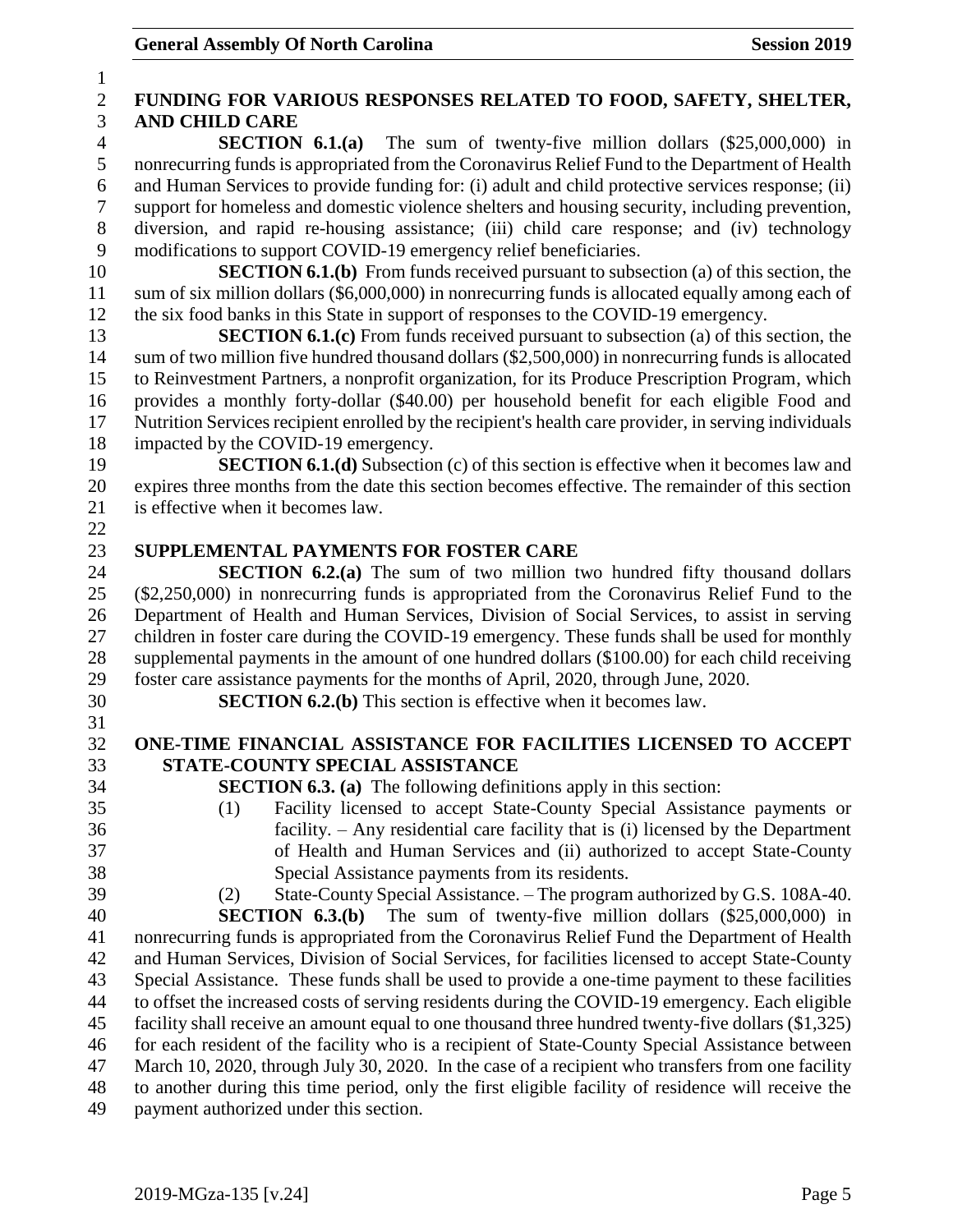| $\mathbf{1}$     |                                                                                                       |  |  |
|------------------|-------------------------------------------------------------------------------------------------------|--|--|
| $\sqrt{2}$       | FUNDING FOR VARIOUS RESPONSES RELATED TO FOOD, SAFETY, SHELTER,                                       |  |  |
| 3                | <b>AND CHILD CARE</b>                                                                                 |  |  |
| $\overline{4}$   | <b>SECTION 6.1.(a)</b> The sum of twenty-five million dollars $(\$25,000,000)$ in                     |  |  |
| 5                | nonrecurring funds is appropriated from the Coronavirus Relief Fund to the Department of Health       |  |  |
| 6                | and Human Services to provide funding for: (i) adult and child protective services response; (ii)     |  |  |
| $\boldsymbol{7}$ | support for homeless and domestic violence shelters and housing security, including prevention,       |  |  |
| 8                | diversion, and rapid re-housing assistance; (iii) child care response; and (iv) technology            |  |  |
| 9                | modifications to support COVID-19 emergency relief beneficiaries.                                     |  |  |
| 10               | <b>SECTION 6.1.(b)</b> From funds received pursuant to subsection (a) of this section, the            |  |  |
| 11               | sum of six million dollars (\$6,000,000) in nonrecurring funds is allocated equally among each of     |  |  |
| 12               | the six food banks in this State in support of responses to the COVID-19 emergency.                   |  |  |
| 13               | <b>SECTION 6.1.(c)</b> From funds received pursuant to subsection (a) of this section, the            |  |  |
| 14               | sum of two million five hundred thousand dollars (\$2,500,000) in nonrecurring funds is allocated     |  |  |
| 15               | to Reinvestment Partners, a nonprofit organization, for its Produce Prescription Program, which       |  |  |
| 16               | provides a monthly forty-dollar (\$40.00) per household benefit for each eligible Food and            |  |  |
| 17               | Nutrition Services recipient enrolled by the recipient's health care provider, in serving individuals |  |  |
| 18               | impacted by the COVID-19 emergency.                                                                   |  |  |
| 19               | <b>SECTION 6.1.(d)</b> Subsection (c) of this section is effective when it becomes law and            |  |  |
| 20               | expires three months from the date this section becomes effective. The remainder of this section      |  |  |
| 21<br>22         | is effective when it becomes law.                                                                     |  |  |
| 23               | SUPPLEMENTAL PAYMENTS FOR FOSTER CARE                                                                 |  |  |
| 24               | <b>SECTION 6.2.(a)</b> The sum of two million two hundred fifty thousand dollars                      |  |  |
| 25               | (\$2,250,000) in nonrecurring funds is appropriated from the Coronavirus Relief Fund to the           |  |  |
| 26               | Department of Health and Human Services, Division of Social Services, to assist in serving            |  |  |
| 27               | children in foster care during the COVID-19 emergency. These funds shall be used for monthly          |  |  |
| 28               | supplemental payments in the amount of one hundred dollars (\$100.00) for each child receiving        |  |  |
| 29               | foster care assistance payments for the months of April, 2020, through June, 2020.                    |  |  |
| 30               | <b>SECTION 6.2.(b)</b> This section is effective when it becomes law.                                 |  |  |
| 31               |                                                                                                       |  |  |
| 32               | ONE-TIME FINANCIAL ASSISTANCE FOR FACILITIES LICENSED TO ACCEPT                                       |  |  |
| 33               | STATE-COUNTY SPECIAL ASSISTANCE                                                                       |  |  |
| 34               | <b>SECTION 6.3. (a)</b> The following definitions apply in this section:                              |  |  |
| 35               | Facility licensed to accept State-County Special Assistance payments or<br>(1)                        |  |  |
| 36               | facility. $-$ Any residential care facility that is (i) licensed by the Department                    |  |  |
| 37               | of Health and Human Services and (ii) authorized to accept State-County                               |  |  |
| 38               | Special Assistance payments from its residents.                                                       |  |  |
| 39               | State-County Special Assistance. - The program authorized by G.S. 108A-40.<br>(2)                     |  |  |
| 40               | <b>SECTION 6.3.(b)</b> The sum of twenty-five million dollars (\$25,000,000) in                       |  |  |
| 41               | nonrecurring funds is appropriated from the Coronavirus Relief Fund the Department of Health          |  |  |
| 42               | and Human Services, Division of Social Services, for facilities licensed to accept State-County       |  |  |
| 43               | Special Assistance. These funds shall be used to provide a one-time payment to these facilities       |  |  |
| 44               | to offset the increased costs of serving residents during the COVID-19 emergency. Each eligible       |  |  |
| 45               | facility shall receive an amount equal to one thousand three hundred twenty-five dollars (\$1,325)    |  |  |
| 46               | for each resident of the facility who is a recipient of State-County Special Assistance between       |  |  |
| 47               | March 10, 2020, through July 30, 2020. In the case of a recipient who transfers from one facility     |  |  |
| 48               | to another during this time period, only the first eligible facility of residence will receive the    |  |  |
| 49               | payment authorized under this section.                                                                |  |  |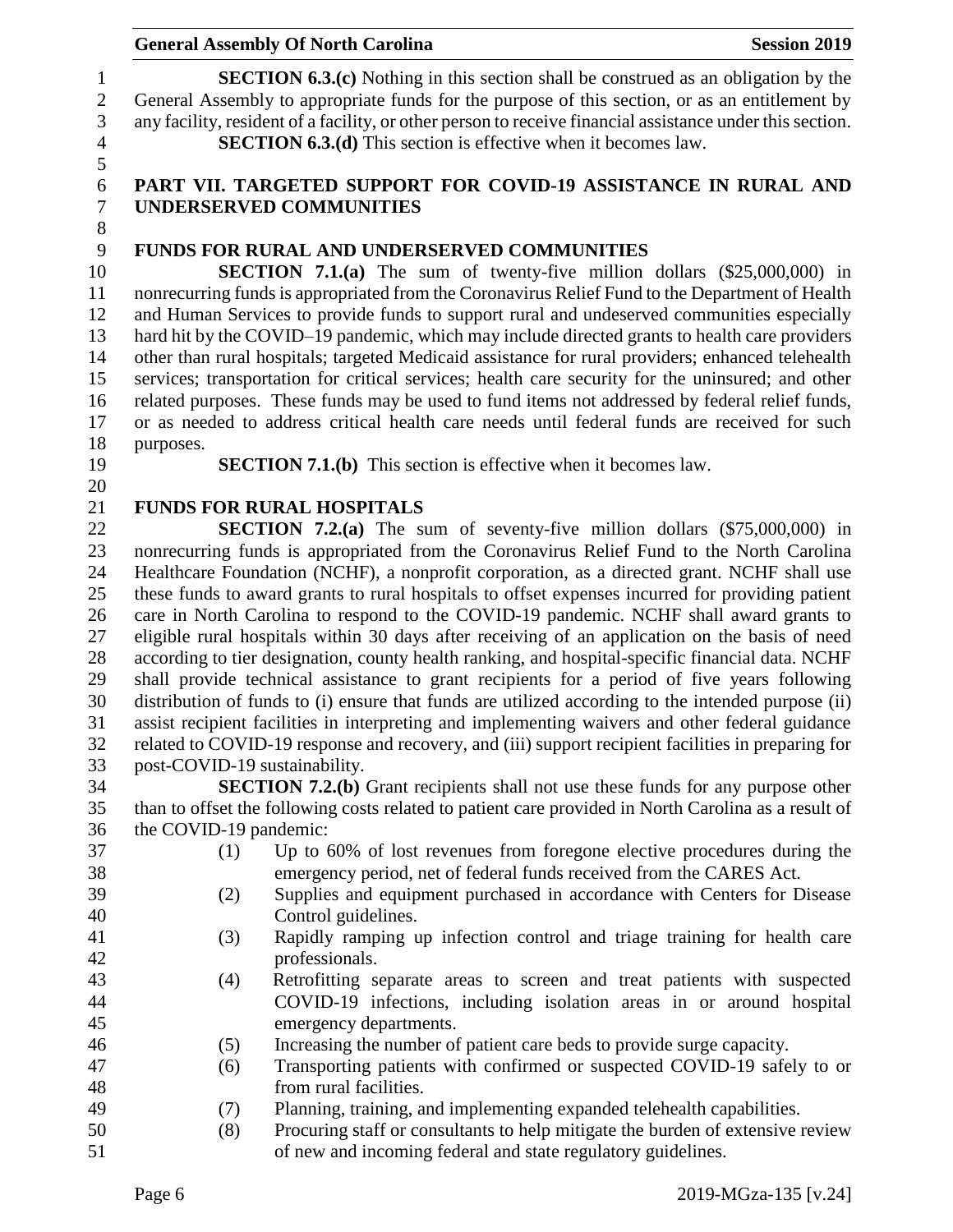### **General Assembly Of North Carolina Session 2019 Session 2019**

**SECTION 6.3.(c)** Nothing in this section shall be construed as an obligation by the General Assembly to appropriate funds for the purpose of this section, or as an entitlement by any facility, resident of a facility, or other person to receive financial assistance under this section. **SECTION 6.3.(d)** This section is effective when it becomes law.

#### **PART VII. TARGETED SUPPORT FOR COVID-19 ASSISTANCE IN RURAL AND UNDERSERVED COMMUNITIES**

### **FUNDS FOR RURAL AND UNDERSERVED COMMUNITIES**

 **SECTION 7.1.(a)** The sum of twenty-five million dollars (\$25,000,000) in nonrecurring funds is appropriated from the Coronavirus Relief Fund to the Department of Health and Human Services to provide funds to support rural and undeserved communities especially hard hit by the COVID–19 pandemic, which may include directed grants to health care providers other than rural hospitals; targeted Medicaid assistance for rural providers; enhanced telehealth services; transportation for critical services; health care security for the uninsured; and other related purposes. These funds may be used to fund items not addressed by federal relief funds, or as needed to address critical health care needs until federal funds are received for such purposes.

**SECTION 7.1.(b)** This section is effective when it becomes law.

# **FUNDS FOR RURAL HOSPITALS**

 **SECTION 7.2.(a)** The sum of seventy-five million dollars (\$75,000,000) in nonrecurring funds is appropriated from the Coronavirus Relief Fund to the North Carolina Healthcare Foundation (NCHF), a nonprofit corporation, as a directed grant. NCHF shall use these funds to award grants to rural hospitals to offset expenses incurred for providing patient care in North Carolina to respond to the COVID-19 pandemic. NCHF shall award grants to eligible rural hospitals within 30 days after receiving of an application on the basis of need according to tier designation, county health ranking, and hospital-specific financial data. NCHF shall provide technical assistance to grant recipients for a period of five years following distribution of funds to (i) ensure that funds are utilized according to the intended purpose (ii) assist recipient facilities in interpreting and implementing waivers and other federal guidance related to COVID-19 response and recovery, and (iii) support recipient facilities in preparing for post-COVID-19 sustainability.

 **SECTION 7.2.(b)** Grant recipients shall not use these funds for any purpose other than to offset the following costs related to patient care provided in North Carolina as a result of the COVID-19 pandemic:

- 
- (1) Up to 60% of lost revenues from foregone elective procedures during the emergency period, net of federal funds received from the CARES Act.
- (2) Supplies and equipment purchased in accordance with Centers for Disease Control guidelines.
- (3) Rapidly ramping up infection control and triage training for health care professionals.
- (4) Retrofitting separate areas to screen and treat patients with suspected COVID-19 infections, including isolation areas in or around hospital emergency departments.
- (5) Increasing the number of patient care beds to provide surge capacity.
- (6) Transporting patients with confirmed or suspected COVID-19 safely to or from rural facilities.
- (7) Planning, training, and implementing expanded telehealth capabilities.
- (8) Procuring staff or consultants to help mitigate the burden of extensive review of new and incoming federal and state regulatory guidelines.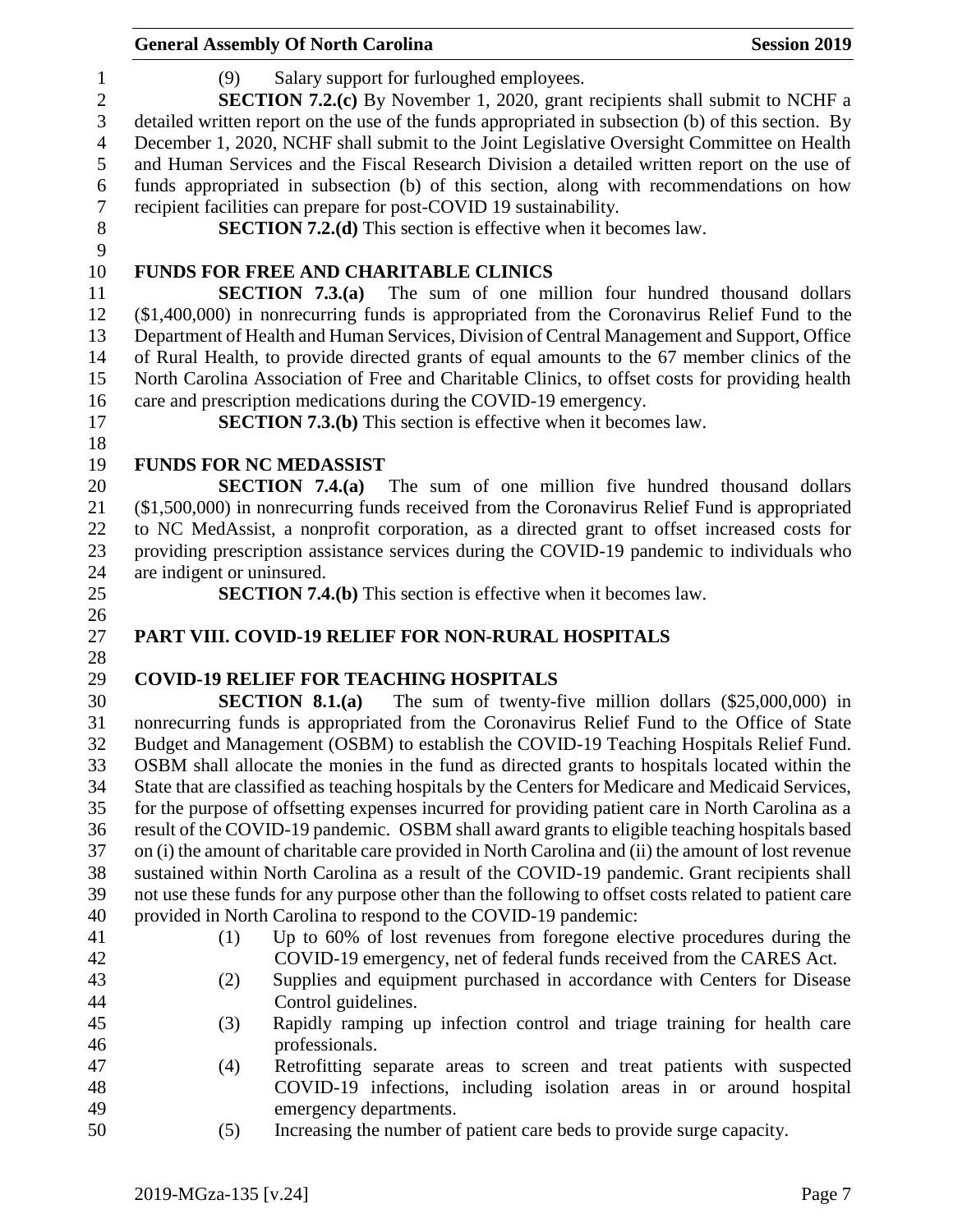|                 |                                                                                                     | <b>General Assembly Of North Carolina</b>                                                                                                                                                            | <b>Session 2019</b> |  |  |
|-----------------|-----------------------------------------------------------------------------------------------------|------------------------------------------------------------------------------------------------------------------------------------------------------------------------------------------------------|---------------------|--|--|
| 1<br>$\sqrt{2}$ | (9)                                                                                                 | Salary support for furloughed employees.<br><b>SECTION 7.2.(c)</b> By November 1, 2020, grant recipients shall submit to NCHF a                                                                      |                     |  |  |
| 3               |                                                                                                     | detailed written report on the use of the funds appropriated in subsection (b) of this section. By                                                                                                   |                     |  |  |
| $\overline{4}$  |                                                                                                     | December 1, 2020, NCHF shall submit to the Joint Legislative Oversight Committee on Health                                                                                                           |                     |  |  |
| 5               |                                                                                                     | and Human Services and the Fiscal Research Division a detailed written report on the use of                                                                                                          |                     |  |  |
| 6               |                                                                                                     | funds appropriated in subsection (b) of this section, along with recommendations on how                                                                                                              |                     |  |  |
| $\tau$          |                                                                                                     | recipient facilities can prepare for post-COVID 19 sustainability.                                                                                                                                   |                     |  |  |
| $\,8\,$         |                                                                                                     | <b>SECTION 7.2.(d)</b> This section is effective when it becomes law.                                                                                                                                |                     |  |  |
| 9               |                                                                                                     |                                                                                                                                                                                                      |                     |  |  |
| 10              |                                                                                                     | <b>FUNDS FOR FREE AND CHARITABLE CLINICS</b>                                                                                                                                                         |                     |  |  |
| 11              |                                                                                                     | <b>SECTION 7.3.(a)</b> The sum of one million four hundred thousand dollars                                                                                                                          |                     |  |  |
| 12              |                                                                                                     | $($1,400,000)$ in nonrecurring funds is appropriated from the Coronavirus Relief Fund to the                                                                                                         |                     |  |  |
| 13              |                                                                                                     | Department of Health and Human Services, Division of Central Management and Support, Office                                                                                                          |                     |  |  |
| 14              |                                                                                                     | of Rural Health, to provide directed grants of equal amounts to the 67 member clinics of the                                                                                                         |                     |  |  |
| 15              |                                                                                                     | North Carolina Association of Free and Charitable Clinics, to offset costs for providing health                                                                                                      |                     |  |  |
| 16              |                                                                                                     | care and prescription medications during the COVID-19 emergency.                                                                                                                                     |                     |  |  |
| 17              |                                                                                                     | <b>SECTION 7.3.(b)</b> This section is effective when it becomes law.                                                                                                                                |                     |  |  |
| 18              |                                                                                                     |                                                                                                                                                                                                      |                     |  |  |
| 19              |                                                                                                     | <b>FUNDS FOR NC MEDASSIST</b>                                                                                                                                                                        |                     |  |  |
| 20              |                                                                                                     | <b>SECTION 7.4.(a)</b> The sum of one million five hundred thousand dollars                                                                                                                          |                     |  |  |
| 21              |                                                                                                     | $($1,500,000)$ in nonrecurring funds received from the Coronavirus Relief Fund is appropriated                                                                                                       |                     |  |  |
| 22              |                                                                                                     | to NC MedAssist, a nonprofit corporation, as a directed grant to offset increased costs for                                                                                                          |                     |  |  |
| 23              |                                                                                                     | providing prescription assistance services during the COVID-19 pandemic to individuals who                                                                                                           |                     |  |  |
| 24              | are indigent or uninsured.                                                                          |                                                                                                                                                                                                      |                     |  |  |
| 25              |                                                                                                     | <b>SECTION 7.4.(b)</b> This section is effective when it becomes law.                                                                                                                                |                     |  |  |
| 26              |                                                                                                     |                                                                                                                                                                                                      |                     |  |  |
| 27              |                                                                                                     | PART VIII. COVID-19 RELIEF FOR NON-RURAL HOSPITALS                                                                                                                                                   |                     |  |  |
| 28              |                                                                                                     |                                                                                                                                                                                                      |                     |  |  |
| 29<br>30        |                                                                                                     | <b>COVID-19 RELIEF FOR TEACHING HOSPITALS</b><br>SECTION $8.1(a)$<br>The sum of twenty-five million dollars $(\$25,000,000)$ in                                                                      |                     |  |  |
| 31              |                                                                                                     | nonrecurring funds is appropriated from the Coronavirus Relief Fund to the Office of State                                                                                                           |                     |  |  |
| 32              |                                                                                                     | Budget and Management (OSBM) to establish the COVID-19 Teaching Hospitals Relief Fund.                                                                                                               |                     |  |  |
| 33              |                                                                                                     | OSBM shall allocate the monies in the fund as directed grants to hospitals located within the                                                                                                        |                     |  |  |
| 34              |                                                                                                     | State that are classified as teaching hospitals by the Centers for Medicare and Medicaid Services,                                                                                                   |                     |  |  |
| 35              |                                                                                                     |                                                                                                                                                                                                      |                     |  |  |
| 36              | for the purpose of offsetting expenses incurred for providing patient care in North Carolina as a   |                                                                                                                                                                                                      |                     |  |  |
| 37              | result of the COVID-19 pandemic. OSBM shall award grants to eligible teaching hospitals based       |                                                                                                                                                                                                      |                     |  |  |
| 38              | on (i) the amount of charitable care provided in North Carolina and (ii) the amount of lost revenue |                                                                                                                                                                                                      |                     |  |  |
| 39              |                                                                                                     | sustained within North Carolina as a result of the COVID-19 pandemic. Grant recipients shall<br>not use these funds for any purpose other than the following to offset costs related to patient care |                     |  |  |
| 40              |                                                                                                     | provided in North Carolina to respond to the COVID-19 pandemic:                                                                                                                                      |                     |  |  |
| 41              | (1)                                                                                                 | Up to 60% of lost revenues from foregone elective procedures during the                                                                                                                              |                     |  |  |
| 42              |                                                                                                     | COVID-19 emergency, net of federal funds received from the CARES Act.                                                                                                                                |                     |  |  |
| 43              | (2)                                                                                                 | Supplies and equipment purchased in accordance with Centers for Disease                                                                                                                              |                     |  |  |
| 44              |                                                                                                     | Control guidelines.                                                                                                                                                                                  |                     |  |  |
| 45              | (3)                                                                                                 | Rapidly ramping up infection control and triage training for health care                                                                                                                             |                     |  |  |
| 46              |                                                                                                     | professionals.                                                                                                                                                                                       |                     |  |  |
| 47              | (4)                                                                                                 | Retrofitting separate areas to screen and treat patients with suspected                                                                                                                              |                     |  |  |
| 48              |                                                                                                     | COVID-19 infections, including isolation areas in or around hospital                                                                                                                                 |                     |  |  |
| 49              |                                                                                                     | emergency departments.                                                                                                                                                                               |                     |  |  |
| 50              | (5)                                                                                                 | Increasing the number of patient care beds to provide surge capacity.                                                                                                                                |                     |  |  |
|                 |                                                                                                     |                                                                                                                                                                                                      |                     |  |  |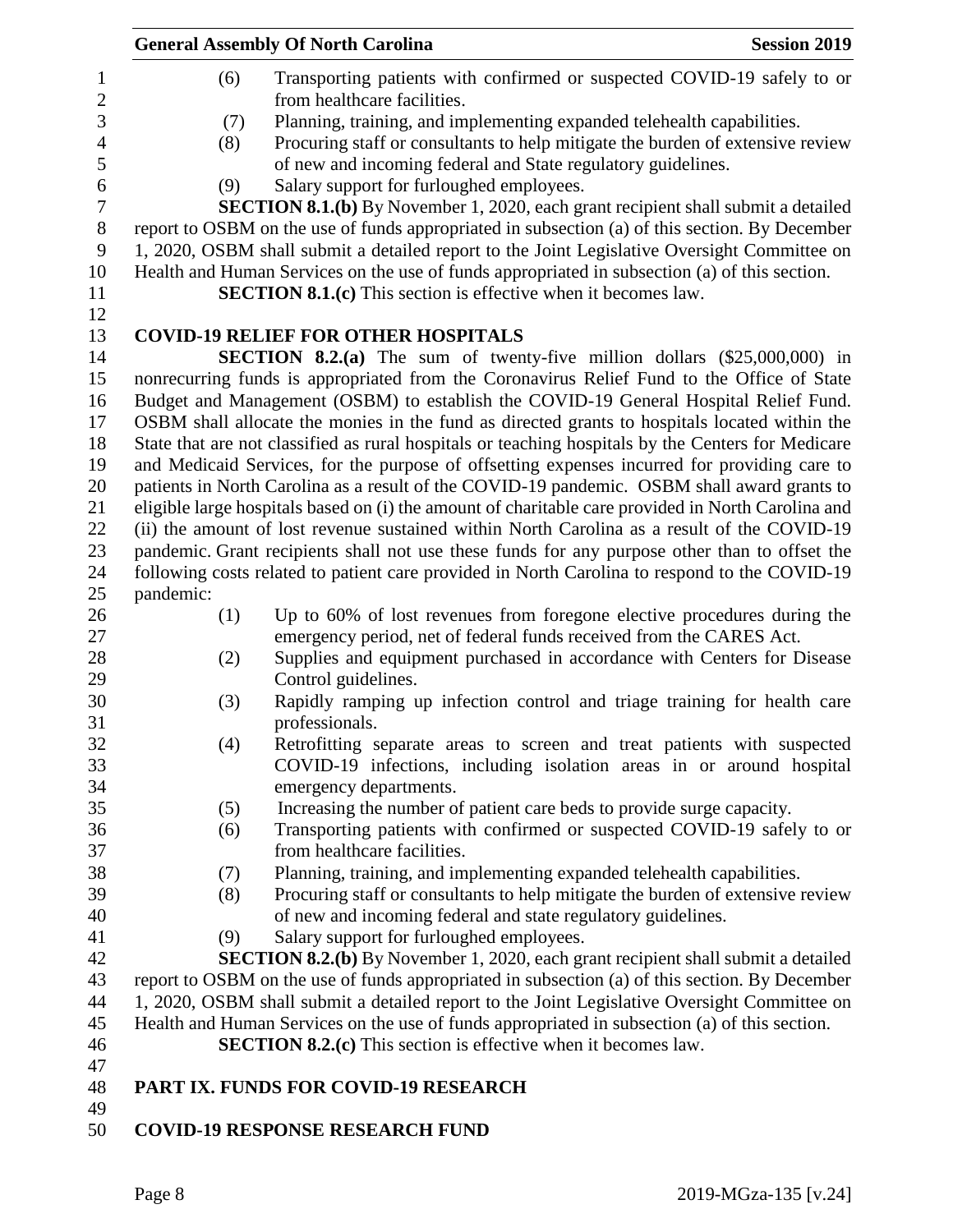|                                                                                               | <b>General Assembly Of North Carolina</b>                                                                                                      | <b>Session 2019</b> |
|-----------------------------------------------------------------------------------------------|------------------------------------------------------------------------------------------------------------------------------------------------|---------------------|
| (6)                                                                                           | Transporting patients with confirmed or suspected COVID-19 safely to or<br>from healthcare facilities.                                         |                     |
| (7)                                                                                           | Planning, training, and implementing expanded telehealth capabilities.                                                                         |                     |
| (8)                                                                                           | Procuring staff or consultants to help mitigate the burden of extensive review<br>of new and incoming federal and State regulatory guidelines. |                     |
| (9)                                                                                           | Salary support for furloughed employees.                                                                                                       |                     |
|                                                                                               | <b>SECTION 8.1.(b)</b> By November 1, 2020, each grant recipient shall submit a detailed                                                       |                     |
|                                                                                               | report to OSBM on the use of funds appropriated in subsection (a) of this section. By December                                                 |                     |
|                                                                                               | 1, 2020, OSBM shall submit a detailed report to the Joint Legislative Oversight Committee on                                                   |                     |
|                                                                                               | Health and Human Services on the use of funds appropriated in subsection (a) of this section.                                                  |                     |
|                                                                                               | <b>SECTION 8.1.(c)</b> This section is effective when it becomes law.                                                                          |                     |
|                                                                                               |                                                                                                                                                |                     |
|                                                                                               | <b>COVID-19 RELIEF FOR OTHER HOSPITALS</b>                                                                                                     |                     |
|                                                                                               | <b>SECTION 8.2.(a)</b> The sum of twenty-five million dollars (\$25,000,000) in                                                                |                     |
|                                                                                               | nonrecurring funds is appropriated from the Coronavirus Relief Fund to the Office of State                                                     |                     |
|                                                                                               | Budget and Management (OSBM) to establish the COVID-19 General Hospital Relief Fund.                                                           |                     |
| OSBM shall allocate the monies in the fund as directed grants to hospitals located within the |                                                                                                                                                |                     |
|                                                                                               | State that are not classified as rural hospitals or teaching hospitals by the Centers for Medicare                                             |                     |
| and Medicaid Services, for the purpose of offsetting expenses incurred for providing care to  |                                                                                                                                                |                     |
|                                                                                               | patients in North Carolina as a result of the COVID-19 pandemic. OSBM shall award grants to                                                    |                     |
|                                                                                               | eligible large hospitals based on (i) the amount of charitable care provided in North Carolina and                                             |                     |
|                                                                                               | (ii) the amount of lost revenue sustained within North Carolina as a result of the COVID-19                                                    |                     |
|                                                                                               | pandemic. Grant recipients shall not use these funds for any purpose other than to offset the                                                  |                     |
|                                                                                               | following costs related to patient care provided in North Carolina to respond to the COVID-19                                                  |                     |
| pandemic:                                                                                     |                                                                                                                                                |                     |
| (1)                                                                                           | Up to 60% of lost revenues from foregone elective procedures during the                                                                        |                     |
|                                                                                               | emergency period, net of federal funds received from the CARES Act.                                                                            |                     |
| (2)                                                                                           | Supplies and equipment purchased in accordance with Centers for Disease                                                                        |                     |
|                                                                                               | Control guidelines.                                                                                                                            |                     |
| (3)                                                                                           | Rapidly ramping up infection control and triage training for health care                                                                       |                     |
|                                                                                               | professionals.                                                                                                                                 |                     |
| (4)                                                                                           | Retrofitting separate areas to screen and treat patients with suspected                                                                        |                     |
|                                                                                               | COVID-19 infections, including isolation areas in or around hospital                                                                           |                     |
|                                                                                               | emergency departments.                                                                                                                         |                     |
| (5)                                                                                           | Increasing the number of patient care beds to provide surge capacity.                                                                          |                     |
| (6)                                                                                           | Transporting patients with confirmed or suspected COVID-19 safely to or                                                                        |                     |
|                                                                                               | from healthcare facilities.                                                                                                                    |                     |
| (7)                                                                                           | Planning, training, and implementing expanded telehealth capabilities.                                                                         |                     |
| (8)                                                                                           | Procuring staff or consultants to help mitigate the burden of extensive review                                                                 |                     |
|                                                                                               | of new and incoming federal and state regulatory guidelines.                                                                                   |                     |
| (9)                                                                                           | Salary support for furloughed employees.                                                                                                       |                     |
|                                                                                               | <b>SECTION 8.2.(b)</b> By November 1, 2020, each grant recipient shall submit a detailed                                                       |                     |
|                                                                                               | report to OSBM on the use of funds appropriated in subsection (a) of this section. By December                                                 |                     |
|                                                                                               | 1, 2020, OSBM shall submit a detailed report to the Joint Legislative Oversight Committee on                                                   |                     |
|                                                                                               | Health and Human Services on the use of funds appropriated in subsection (a) of this section.                                                  |                     |
|                                                                                               | <b>SECTION 8.2.(c)</b> This section is effective when it becomes law.                                                                          |                     |
|                                                                                               |                                                                                                                                                |                     |
|                                                                                               | PART IX. FUNDS FOR COVID-19 RESEARCH                                                                                                           |                     |
|                                                                                               |                                                                                                                                                |                     |
|                                                                                               | <b>COVID-19 RESPONSE RESEARCH FUND</b>                                                                                                         |                     |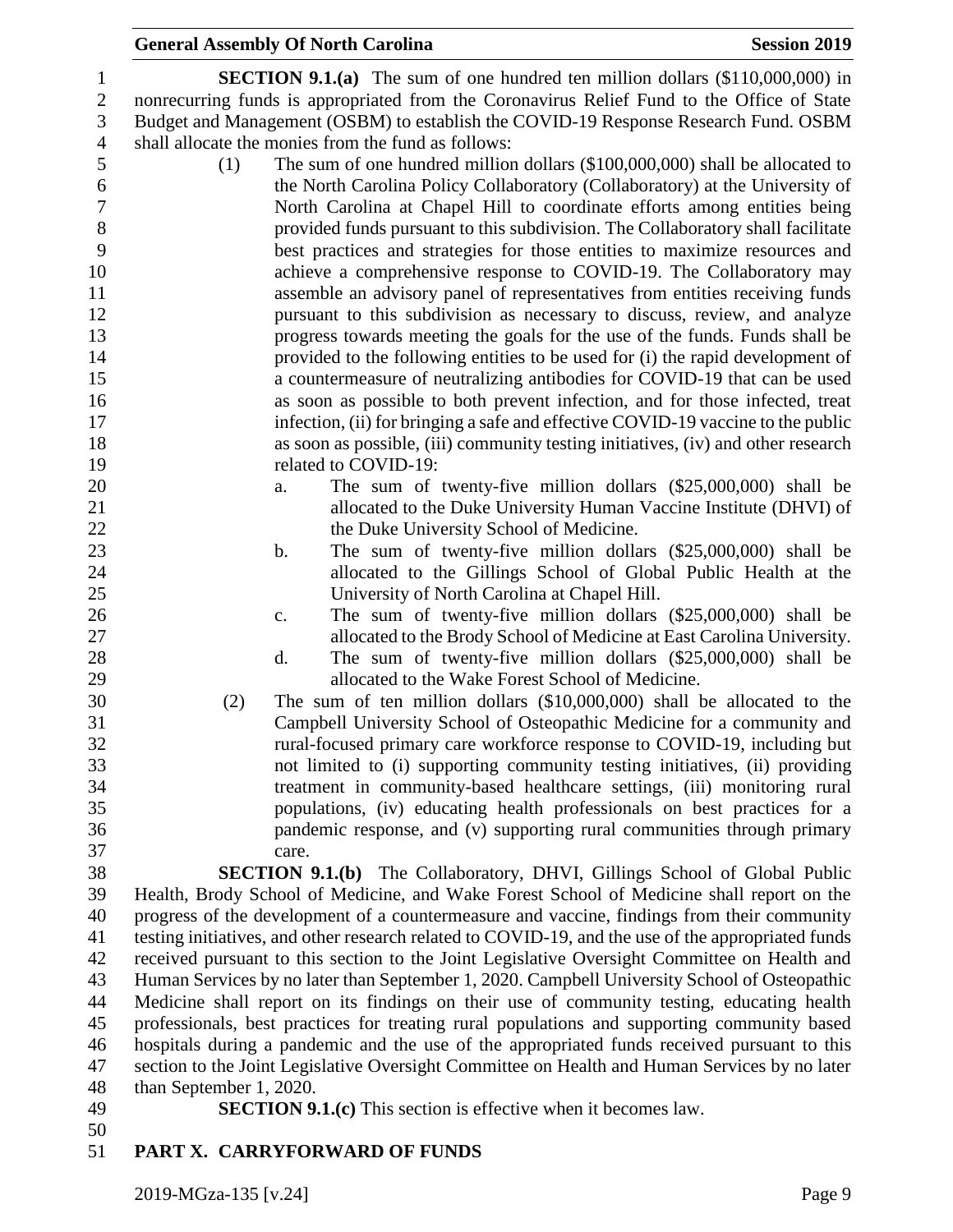| <b>General Assembly Of North Carolina</b>                                                                                                                                                                                                                                                                                        | <b>Session 2019</b> |
|----------------------------------------------------------------------------------------------------------------------------------------------------------------------------------------------------------------------------------------------------------------------------------------------------------------------------------|---------------------|
| <b>SECTION 9.1.(a)</b> The sum of one hundred ten million dollars (\$110,000,000) in<br>nonrecurring funds is appropriated from the Coronavirus Relief Fund to the Office of State<br>Budget and Management (OSBM) to establish the COVID-19 Response Research Fund. OSBM<br>shall allocate the monies from the fund as follows: |                     |
| The sum of one hundred million dollars (\$100,000,000) shall be allocated to<br>(1)                                                                                                                                                                                                                                              |                     |
| the North Carolina Policy Collaboratory (Collaboratory) at the University of                                                                                                                                                                                                                                                     |                     |
| North Carolina at Chapel Hill to coordinate efforts among entities being                                                                                                                                                                                                                                                         |                     |
| provided funds pursuant to this subdivision. The Collaboratory shall facilitate<br>best practices and strategies for those entities to maximize resources and                                                                                                                                                                    |                     |
| achieve a comprehensive response to COVID-19. The Collaboratory may                                                                                                                                                                                                                                                              |                     |
| assemble an advisory panel of representatives from entities receiving funds                                                                                                                                                                                                                                                      |                     |
| pursuant to this subdivision as necessary to discuss, review, and analyze                                                                                                                                                                                                                                                        |                     |
| progress towards meeting the goals for the use of the funds. Funds shall be                                                                                                                                                                                                                                                      |                     |
| provided to the following entities to be used for (i) the rapid development of                                                                                                                                                                                                                                                   |                     |
| a countermeasure of neutralizing antibodies for COVID-19 that can be used                                                                                                                                                                                                                                                        |                     |
| as soon as possible to both prevent infection, and for those infected, treat                                                                                                                                                                                                                                                     |                     |
| infection, (ii) for bringing a safe and effective COVID-19 vaccine to the public                                                                                                                                                                                                                                                 |                     |
| as soon as possible, (iii) community testing initiatives, (iv) and other research                                                                                                                                                                                                                                                |                     |
| related to COVID-19:                                                                                                                                                                                                                                                                                                             |                     |
| The sum of twenty-five million dollars $(\$25,000,000)$ shall be<br>a.                                                                                                                                                                                                                                                           |                     |
| allocated to the Duke University Human Vaccine Institute (DHVI) of                                                                                                                                                                                                                                                               |                     |
| the Duke University School of Medicine.                                                                                                                                                                                                                                                                                          |                     |
| The sum of twenty-five million dollars $(\$25,000,000)$ shall be<br>b.                                                                                                                                                                                                                                                           |                     |
| allocated to the Gillings School of Global Public Health at the<br>University of North Carolina at Chapel Hill.                                                                                                                                                                                                                  |                     |
| The sum of twenty-five million dollars $(\$25,000,000)$ shall be<br>c.                                                                                                                                                                                                                                                           |                     |
| allocated to the Brody School of Medicine at East Carolina University.                                                                                                                                                                                                                                                           |                     |
| The sum of twenty-five million dollars $(\$25,000,000)$ shall be<br>d.                                                                                                                                                                                                                                                           |                     |
| allocated to the Wake Forest School of Medicine.                                                                                                                                                                                                                                                                                 |                     |
| The sum of ten million dollars $(\$10,000,000)$ shall be allocated to the<br>(2)                                                                                                                                                                                                                                                 |                     |
| Campbell University School of Osteopathic Medicine for a community and                                                                                                                                                                                                                                                           |                     |
| rural-focused primary care workforce response to COVID-19, including but                                                                                                                                                                                                                                                         |                     |
| not limited to (i) supporting community testing initiatives, (ii) providing                                                                                                                                                                                                                                                      |                     |
| treatment in community-based healthcare settings, (iii) monitoring rural                                                                                                                                                                                                                                                         |                     |
| populations, (iv) educating health professionals on best practices for a                                                                                                                                                                                                                                                         |                     |
| pandemic response, and (v) supporting rural communities through primary                                                                                                                                                                                                                                                          |                     |
| care.                                                                                                                                                                                                                                                                                                                            |                     |
| <b>SECTION 9.1.(b)</b> The Collaboratory, DHVI, Gillings School of Global Public                                                                                                                                                                                                                                                 |                     |
| Health, Brody School of Medicine, and Wake Forest School of Medicine shall report on the<br>progress of the development of a countermeasure and vaccine, findings from their community                                                                                                                                           |                     |
| testing initiatives, and other research related to COVID-19, and the use of the appropriated funds                                                                                                                                                                                                                               |                     |
| received pursuant to this section to the Joint Legislative Oversight Committee on Health and                                                                                                                                                                                                                                     |                     |
| Human Services by no later than September 1, 2020. Campbell University School of Osteopathic                                                                                                                                                                                                                                     |                     |
| Medicine shall report on its findings on their use of community testing, educating health                                                                                                                                                                                                                                        |                     |
| professionals, best practices for treating rural populations and supporting community based                                                                                                                                                                                                                                      |                     |
| hospitals during a pandemic and the use of the appropriated funds received pursuant to this                                                                                                                                                                                                                                      |                     |
| section to the Joint Legislative Oversight Committee on Health and Human Services by no later                                                                                                                                                                                                                                    |                     |
| than September 1, 2020.                                                                                                                                                                                                                                                                                                          |                     |

- 
- **SECTION 9.1.(c)** This section is effective when it becomes law.
- $\frac{50}{51}$

# **PART X. CARRYFORWARD OF FUNDS**